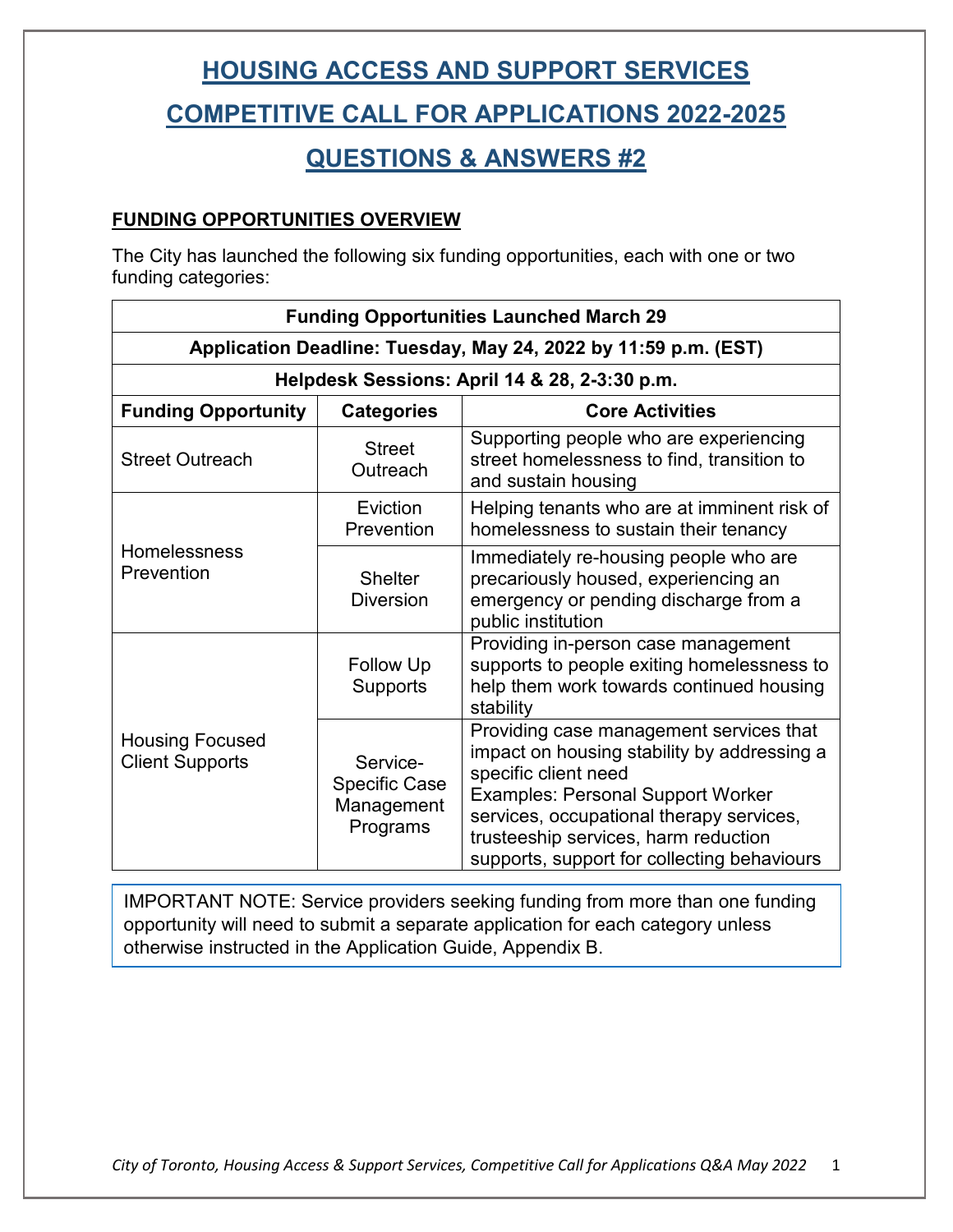### **COMPETITIVE CALL FOR APPLICATIONS 2022-2025**

### **QUESTIONS & ANSWERS #2**

#### **FUNDING OPPORTUNITIES OVERVIEW**

The City has launched the following six funding opportunities, each with one or two funding categories:

| <b>Funding Opportunities Launched March 29</b>                  |                                                            |                                                                                                                                                                                                                                                                                               |  |  |  |
|-----------------------------------------------------------------|------------------------------------------------------------|-----------------------------------------------------------------------------------------------------------------------------------------------------------------------------------------------------------------------------------------------------------------------------------------------|--|--|--|
| Application Deadline: Tuesday, May 24, 2022 by 11:59 p.m. (EST) |                                                            |                                                                                                                                                                                                                                                                                               |  |  |  |
| Helpdesk Sessions: April 14 & 28, 2-3:30 p.m.                   |                                                            |                                                                                                                                                                                                                                                                                               |  |  |  |
| <b>Funding Opportunity</b>                                      | <b>Categories</b>                                          | <b>Core Activities</b>                                                                                                                                                                                                                                                                        |  |  |  |
| <b>Street Outreach</b>                                          | <b>Street</b><br>Outreach                                  | Supporting people who are experiencing<br>street homelessness to find, transition to<br>and sustain housing                                                                                                                                                                                   |  |  |  |
| Homelessness<br>Prevention                                      | Eviction<br>Prevention                                     | Helping tenants who are at imminent risk of<br>homelessness to sustain their tenancy                                                                                                                                                                                                          |  |  |  |
|                                                                 | <b>Shelter</b><br><b>Diversion</b>                         | Immediately re-housing people who are<br>precariously housed, experiencing an<br>emergency or pending discharge from a<br>public institution                                                                                                                                                  |  |  |  |
| <b>Housing Focused</b><br><b>Client Supports</b>                | <b>Follow Up</b><br><b>Supports</b>                        | Providing in-person case management<br>supports to people exiting homelessness to<br>help them work towards continued housing<br>stability                                                                                                                                                    |  |  |  |
|                                                                 | Service-<br><b>Specific Case</b><br>Management<br>Programs | Providing case management services that<br>impact on housing stability by addressing a<br>specific client need<br><b>Examples: Personal Support Worker</b><br>services, occupational therapy services,<br>trusteeship services, harm reduction<br>supports, support for collecting behaviours |  |  |  |

IMPORTANT NOTE: Service providers seeking funding from more than one funding opportunity will need to submit a separate application for each category unless otherwise instructed in the Application Guide, Appendix B.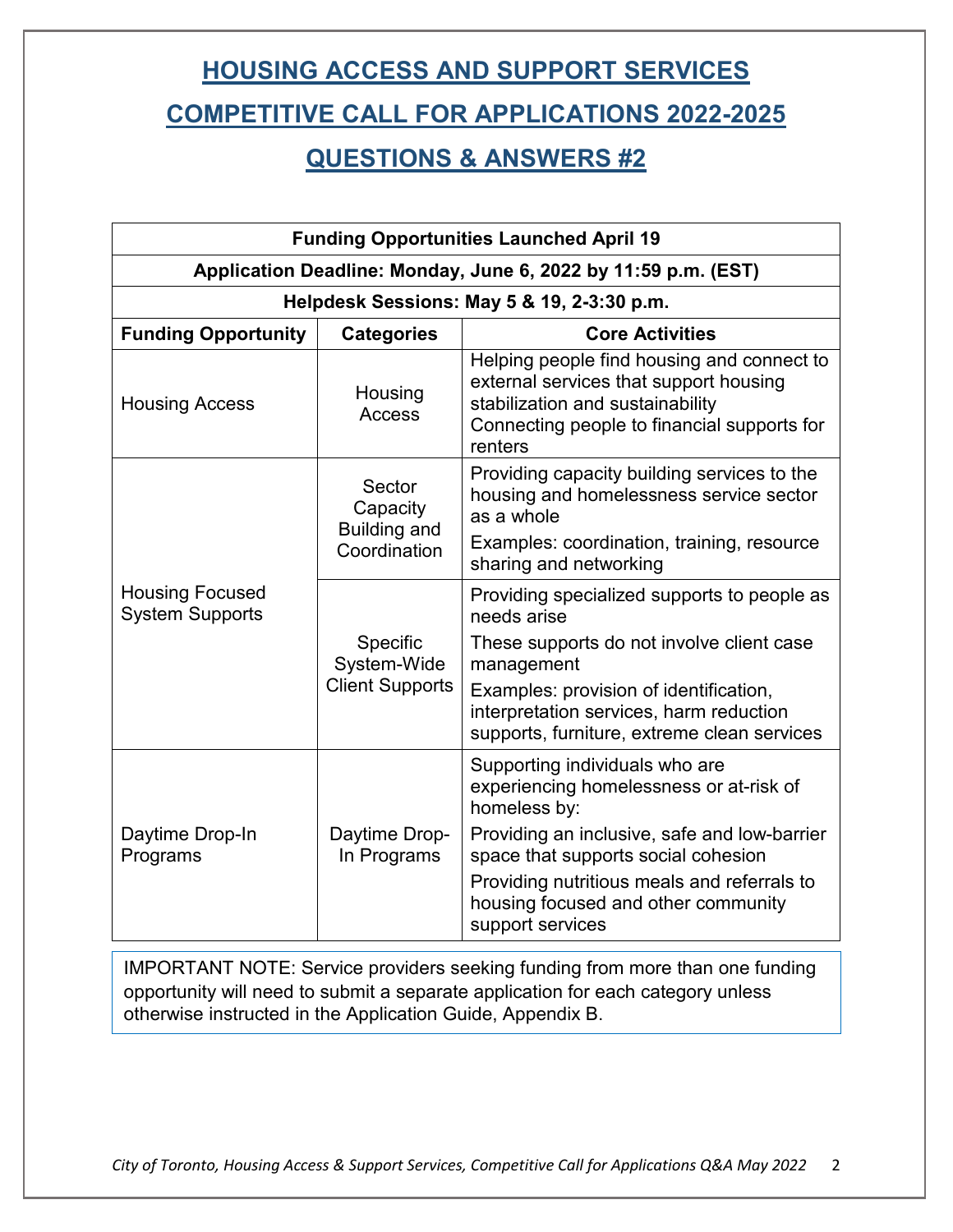### **COMPETITIVE CALL FOR APPLICATIONS 2022-2025**

### **QUESTIONS & ANSWERS #2**

| <b>Funding Opportunities Launched April 19</b>                 |                                                           |                                                                                                                                                                                               |  |  |  |
|----------------------------------------------------------------|-----------------------------------------------------------|-----------------------------------------------------------------------------------------------------------------------------------------------------------------------------------------------|--|--|--|
| Application Deadline: Monday, June 6, 2022 by 11:59 p.m. (EST) |                                                           |                                                                                                                                                                                               |  |  |  |
| Helpdesk Sessions: May 5 & 19, 2-3:30 p.m.                     |                                                           |                                                                                                                                                                                               |  |  |  |
| <b>Funding Opportunity</b>                                     | <b>Categories</b>                                         | <b>Core Activities</b>                                                                                                                                                                        |  |  |  |
| <b>Housing Access</b>                                          | Housing<br>Access                                         | Helping people find housing and connect to<br>external services that support housing<br>stabilization and sustainability<br>Connecting people to financial supports for<br>renters            |  |  |  |
| <b>Housing Focused</b><br><b>System Supports</b>               | Sector<br>Capacity<br><b>Building and</b><br>Coordination | Providing capacity building services to the<br>housing and homelessness service sector<br>as a whole                                                                                          |  |  |  |
|                                                                |                                                           | Examples: coordination, training, resource<br>sharing and networking                                                                                                                          |  |  |  |
|                                                                | Specific<br>System-Wide<br><b>Client Supports</b>         | Providing specialized supports to people as<br>needs arise                                                                                                                                    |  |  |  |
|                                                                |                                                           | These supports do not involve client case<br>management                                                                                                                                       |  |  |  |
|                                                                |                                                           | Examples: provision of identification,<br>interpretation services, harm reduction<br>supports, furniture, extreme clean services                                                              |  |  |  |
| Daytime Drop-In<br>Programs                                    | Daytime Drop-<br>In Programs                              | Supporting individuals who are<br>experiencing homelessness or at-risk of<br>homeless by:                                                                                                     |  |  |  |
|                                                                |                                                           | Providing an inclusive, safe and low-barrier<br>space that supports social cohesion<br>Providing nutritious meals and referrals to<br>housing focused and other community<br>support services |  |  |  |

IMPORTANT NOTE: Service providers seeking funding from more than one funding opportunity will need to submit a separate application for each category unless otherwise instructed in the Application Guide, Appendix B.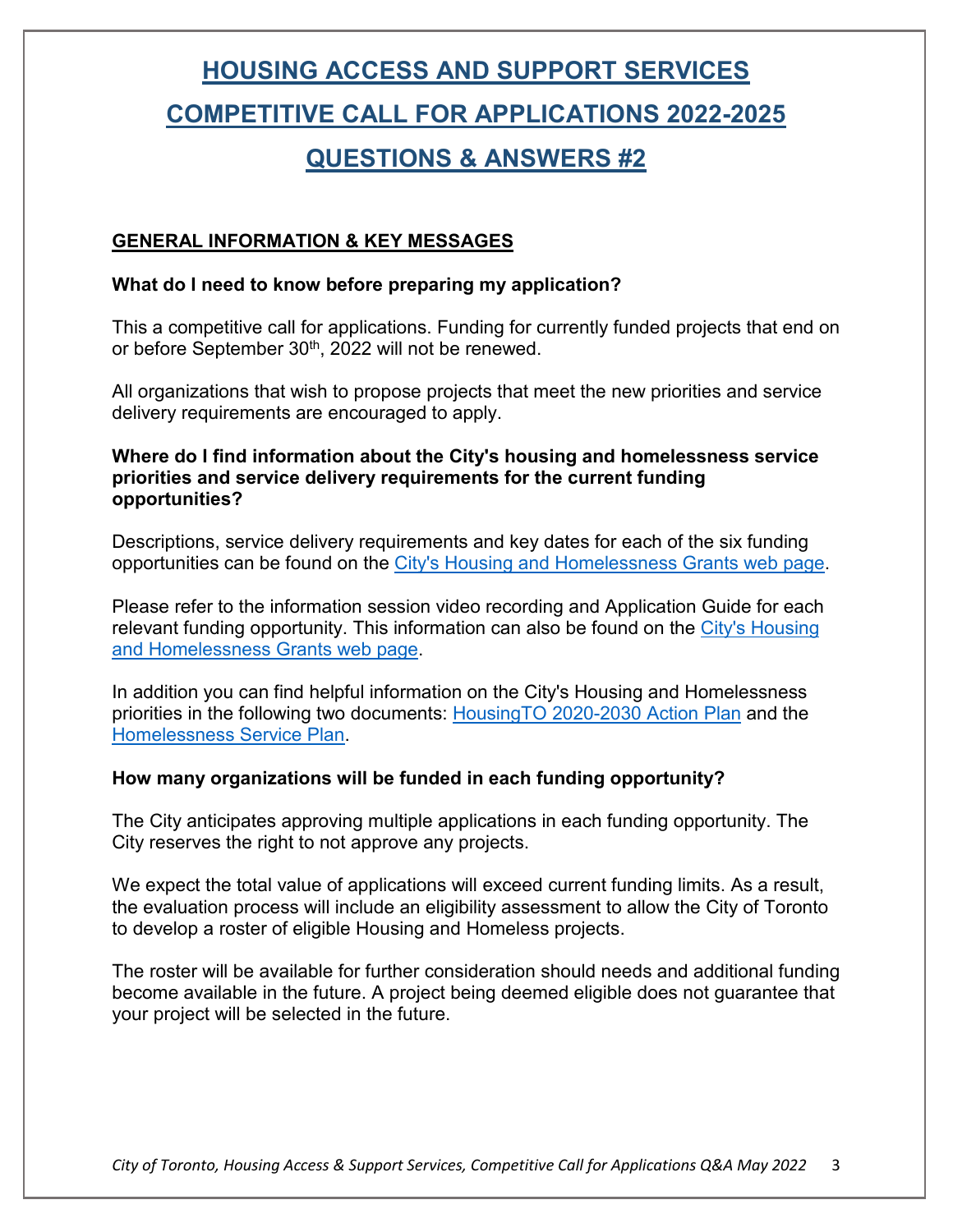## **HOUSING ACCESS AND SUPPORT SERVICES COMPETITIVE CALL FOR APPLICATIONS 2022-2025 QUESTIONS & ANSWERS #2**

#### **GENERAL INFORMATION & KEY MESSAGES**

#### **What do I need to know before preparing my application?**

This a competitive call for applications. Funding for currently funded projects that end on or before September 30<sup>th</sup>, 2022 will not be renewed.

All organizations that wish to propose projects that meet the new priorities and service delivery requirements are encouraged to apply.

#### **Where do I find information about the City's housing and homelessness service priorities and service delivery requirements for the current funding opportunities?**

Descriptions, service delivery requirements and key dates for each of the six funding opportunities can be found on the [City's Housing and Homelessness Grants web page.](https://www.toronto.ca/services-payments/grants-incentives-rebates/housing-homelessness-grants/client-case-management-housing-focused-client-supports/)

Please refer to the information session video recording and Application Guide for each relevant funding opportunity. This information can also be found on the [City's Housing](https://www.toronto.ca/services-payments/grants-incentives-rebates/housing-homelessness-grants/client-case-management-housing-focused-client-supports/)  [and Homelessness Grants web page.](https://www.toronto.ca/services-payments/grants-incentives-rebates/housing-homelessness-grants/client-case-management-housing-focused-client-supports/)

In addition you can find helpful information on the City's Housing and Homelessness priorities in the following two documents: [HousingTO 2020-2030 Action Plan](https://www.toronto.ca/wp-content/uploads/2020/04/94f0-housing-to-2020-2030-action-plan-housing-secretariat.pdf) and the [Homelessness Service Plan.](https://www.toronto.ca/legdocs/mmis/2021/ec/bgrd/backgroundfile-171730.pdf)

#### **How many organizations will be funded in each funding opportunity?**

The City anticipates approving multiple applications in each funding opportunity. The City reserves the right to not approve any projects.

We expect the total value of applications will exceed current funding limits. As a result, the evaluation process will include an eligibility assessment to allow the City of Toronto to develop a roster of eligible Housing and Homeless projects.

The roster will be available for further consideration should needs and additional funding become available in the future. A project being deemed eligible does not guarantee that your project will be selected in the future.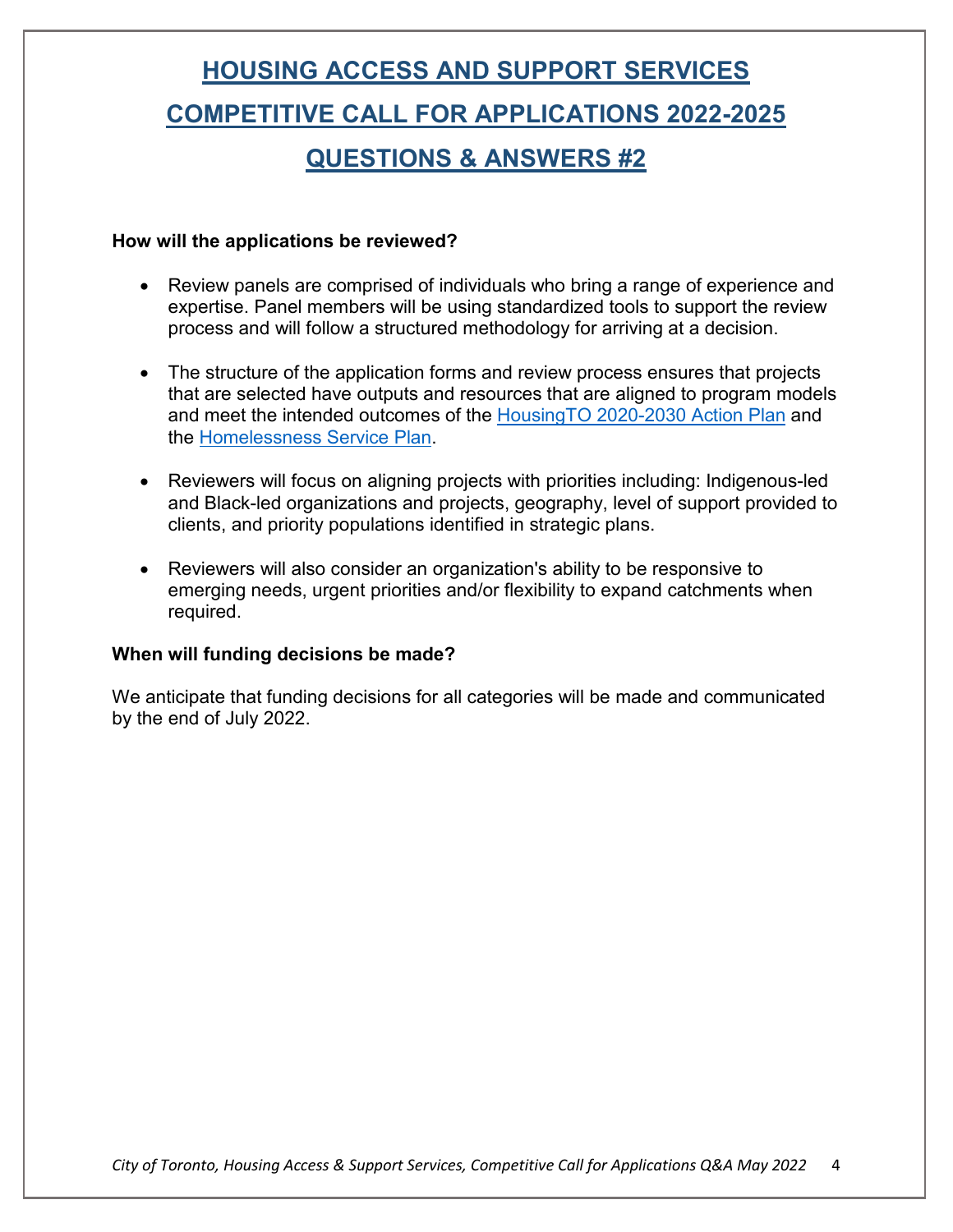# **HOUSING ACCESS AND SUPPORT SERVICES COMPETITIVE CALL FOR APPLICATIONS 2022-2025 QUESTIONS & ANSWERS #2**

#### **How will the applications be reviewed?**

- Review panels are comprised of individuals who bring a range of experience and expertise. Panel members will be using standardized tools to support the review process and will follow a structured methodology for arriving at a decision.
- The structure of the application forms and review process ensures that projects that are selected have outputs and resources that are aligned to program models and meet the intended outcomes of the [HousingTO 2020-2030 Action Plan](https://www.toronto.ca/wp-content/uploads/2020/04/94f0-housing-to-2020-2030-action-plan-housing-secretariat.pdf) and the [Homelessness Service Plan.](https://www.toronto.ca/legdocs/mmis/2021/ec/bgrd/backgroundfile-171730.pdf)
- Reviewers will focus on aligning projects with priorities including: Indigenous-led and Black-led organizations and projects, geography, level of support provided to clients, and priority populations identified in strategic plans.
- Reviewers will also consider an organization's ability to be responsive to emerging needs, urgent priorities and/or flexibility to expand catchments when required.

#### **When will funding decisions be made?**

We anticipate that funding decisions for all categories will be made and communicated by the end of July 2022.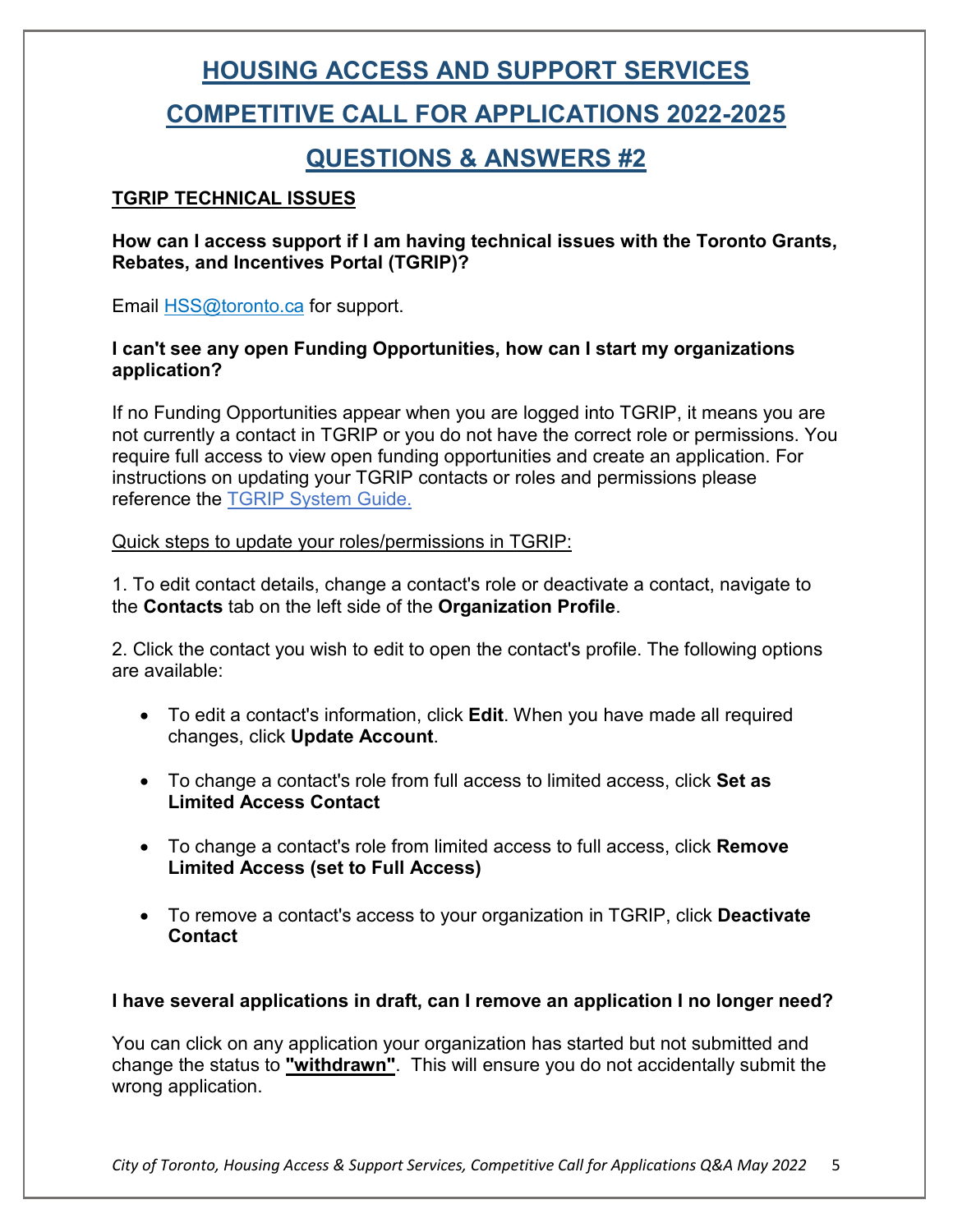### **COMPETITIVE CALL FOR APPLICATIONS 2022-2025**

### **QUESTIONS & ANSWERS #2**

#### **TGRIP TECHNICAL ISSUES**

**How can I access support if I am having technical issues with the Toronto Grants, Rebates, and Incentives Portal (TGRIP)?** 

Email **HSS@toronto.ca** for support.

#### **I can't see any open Funding Opportunities, how can I start my organizations application?**

If no Funding Opportunities appear when you are logged into TGRIP, it means you are not currently a contact in TGRIP or you do not have the correct role or permissions. You require full access to view open funding opportunities and create an application. For instructions on updating your TGRIP contacts or roles and permissions please reference the [TGRIP System Guide.](https://cot.smartsimplebk.ca/files/646596/134517/CFFP_TGRIP_User_Guide.docx)

#### Quick steps to update your roles/permissions in TGRIP:

1. To edit contact details, change a contact's role or deactivate a contact, navigate to the **Contacts** tab on the left side of the **Organization Profile**.

2. Click the contact you wish to edit to open the contact's profile. The following options are available:

- To edit a contact's information, click **Edit**. When you have made all required changes, click **Update Account**.
- To change a contact's role from full access to limited access, click **Set as Limited Access Contact**
- To change a contact's role from limited access to full access, click **Remove Limited Access (set to Full Access)**
- To remove a contact's access to your organization in TGRIP, click **Deactivate Contact**

### **I have several applications in draft, can I remove an application I no longer need?**

You can click on any application your organization has started but not submitted and change the status to **"withdrawn"**. This will ensure you do not accidentally submit the wrong application.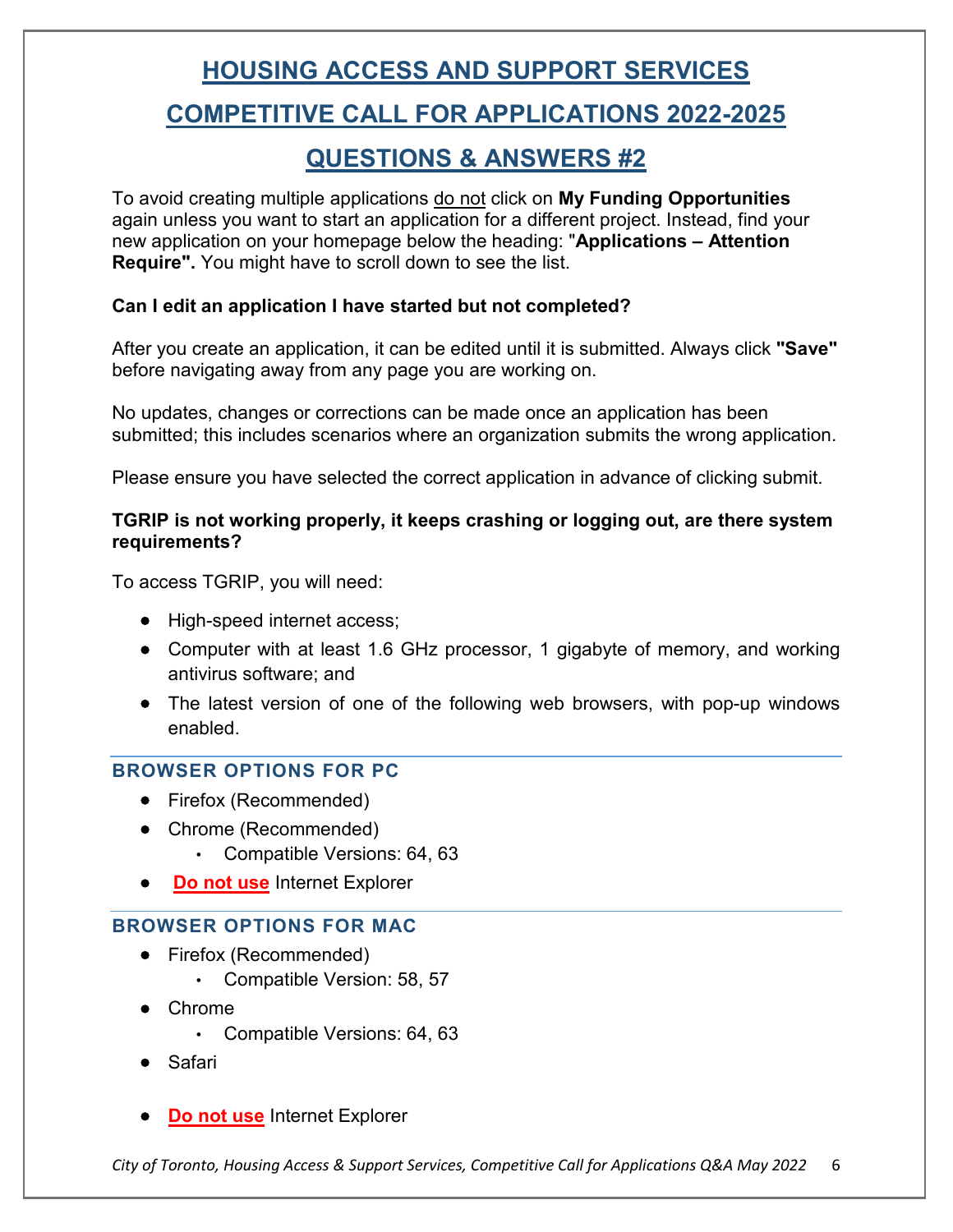## **HOUSING ACCESS AND SUPPORT SERVICES COMPETITIVE CALL FOR APPLICATIONS 2022-2025**

### **QUESTIONS & ANSWERS #2**

To avoid creating multiple applications do not click on **My Funding Opportunities**  again unless you want to start an application for a different project. Instead, find your new application on your homepage below the heading: "**Applications – Attention Require".** You might have to scroll down to see the list.

### **Can I edit an application I have started but not completed?**

After you create an application, it can be edited until it is submitted. Always click **"Save"** before navigating away from any page you are working on.

No updates, changes or corrections can be made once an application has been submitted; this includes scenarios where an organization submits the wrong application.

Please ensure you have selected the correct application in advance of clicking submit.

### **TGRIP is not working properly, it keeps crashing or logging out, are there system requirements?**

To access TGRIP, you will need:

- High-speed internet access;
- Computer with at least 1.6 GHz processor, 1 gigabyte of memory, and working antivirus software; and
- The latest version of one of the following web browsers, with pop-up windows enabled.

### **BROWSER OPTIONS FOR PC**

- Firefox (Recommended)
- Chrome (Recommended)
	- Compatible Versions: 64, 63
- **Do not use Internet Explorer**

### **BROWSER OPTIONS FOR MAC**

- Firefox (Recommended)
	- Compatible Version: 58, 57
- Chrome
	- Compatible Versions: 64, 63
- Safari
- **Do not use** Internet Explorer

*City of Toronto, Housing Access & Support Services, Competitive Call for Applications Q&A May 2022* 6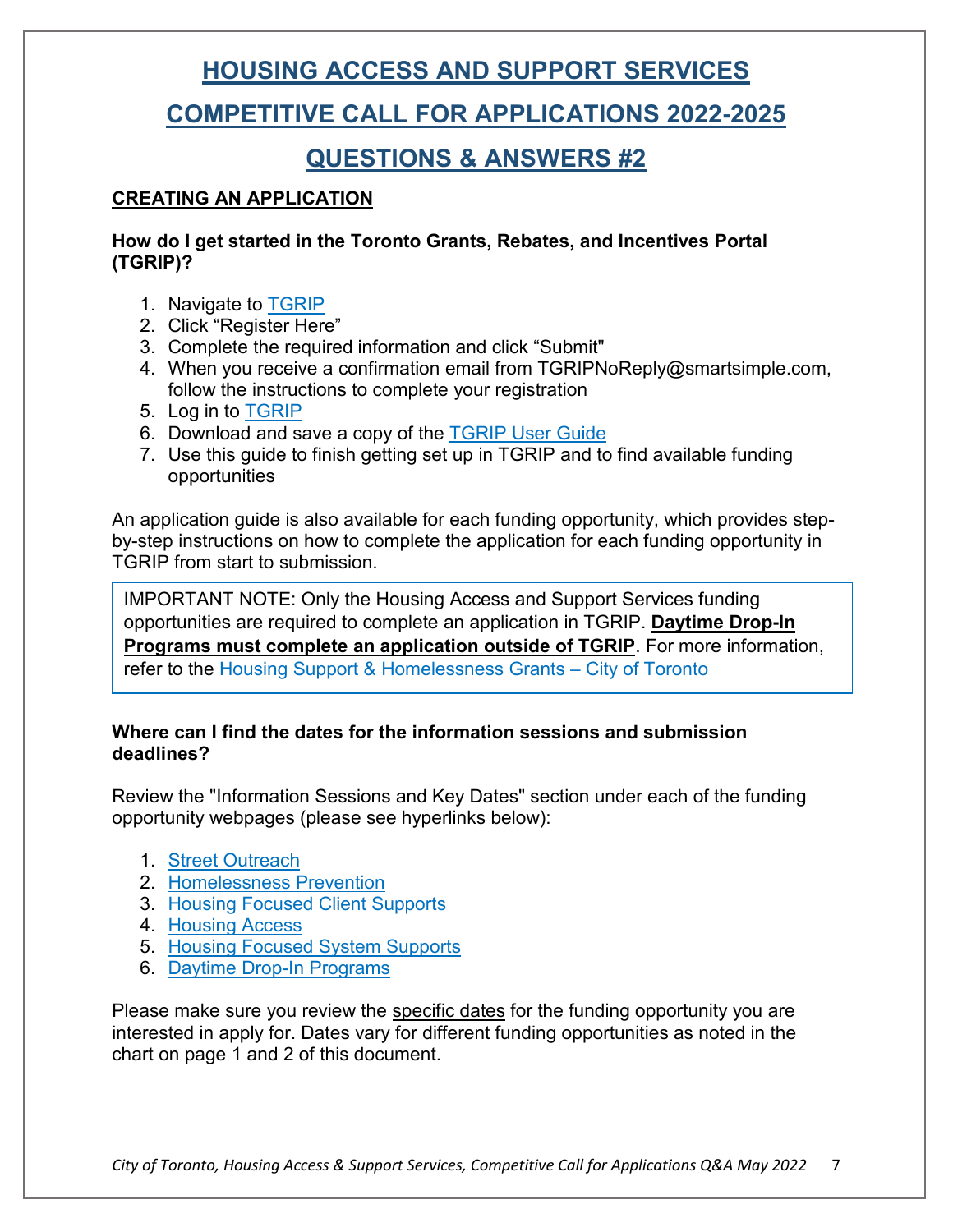### **COMPETITIVE CALL FOR APPLICATIONS 2022-2025**

### **QUESTIONS & ANSWERS #2**

### **CREATING AN APPLICATION**

#### **How do I get started in the Toronto Grants, Rebates, and Incentives Portal (TGRIP)?**

- 1. Navigate to [TGRIP](https://cot.smartsimple.ca/s_Login.jsp)
- 2. Click "Register Here"
- 3. Complete the required information and click "Submit"
- 4. When you receive a confirmation email from [TGRIPNoReply@smartsimple.com,](mailto:TGRIPNoReply@smartsimple.com) follow the instructions to complete your registration
- 5. Log in to [TGRIP](https://cot.smartsimple.ca/s_Login.jsp)
- 6. Download and save a copy of the [TGRIP User Guide](https://cot.smartsimplebk.ca/files/646596/134517/CFFP_TGRIP_User_Guide.docx)
- 7. Use this guide to finish getting set up in TGRIP and to find available funding opportunities

An application guide is also available for each funding opportunity, which provides stepby-step instructions on how to complete the application for each funding opportunity in TGRIP from start to submission.

IMPORTANT NOTE: Only the Housing Access and Support Services funding opportunities are required to complete an application in TGRIP. **Daytime Drop-In Programs must complete an application outside of TGRIP**. For more information, refer to the [Housing Support & Homelessness Grants –](https://www.toronto.ca/services-payments/grants-incentives-rebates/housing-homelessness-grants/#:%7E:text=The%20City%20of%20Toronto%20provides,and%20homelessness%20services%20to%20residents.) City of Toronto

### **Where can I find the dates for the information sessions and submission deadlines?**

Review the "Information Sessions and Key Dates" section under each of the funding opportunity webpages (please see hyperlinks below):

- 1. [Street Outreach](https://www.toronto.ca/services-payments/grants-incentives-rebates/housing-homelessness-grants/client-case-management-street-outreach/)
- 2. [Homelessness Prevention](https://www.toronto.ca/services-payments/grants-incentives-rebates/housing-homelessness-grants/homelessness-prevention/)
- 3. [Housing Focused Client Supports](https://www.toronto.ca/services-payments/grants-incentives-rebates/housing-homelessness-grants/client-case-management-housing-focused-client-supports/)
- 4. [Housing Access](https://www.toronto.ca/services-payments/grants-incentives-rebates/housing-homelessness-grants/housing-access/)
- 5. [Housing Focused System Supports](https://www.toronto.ca/services-payments/grants-incentives-rebates/housing-homelessness-grants/housing-focused-system-supports/)
- 6. [Daytime Drop-In](https://www.toronto.ca/services-payments/grants-incentives-rebates/housing-homelessness-grants/?accordion=daytime-drop-in-programs-funding-opportunity) Programs

Please make sure you review the specific dates for the funding opportunity you are interested in apply for. Dates vary for different funding opportunities as noted in the chart on page 1 and 2 of this document.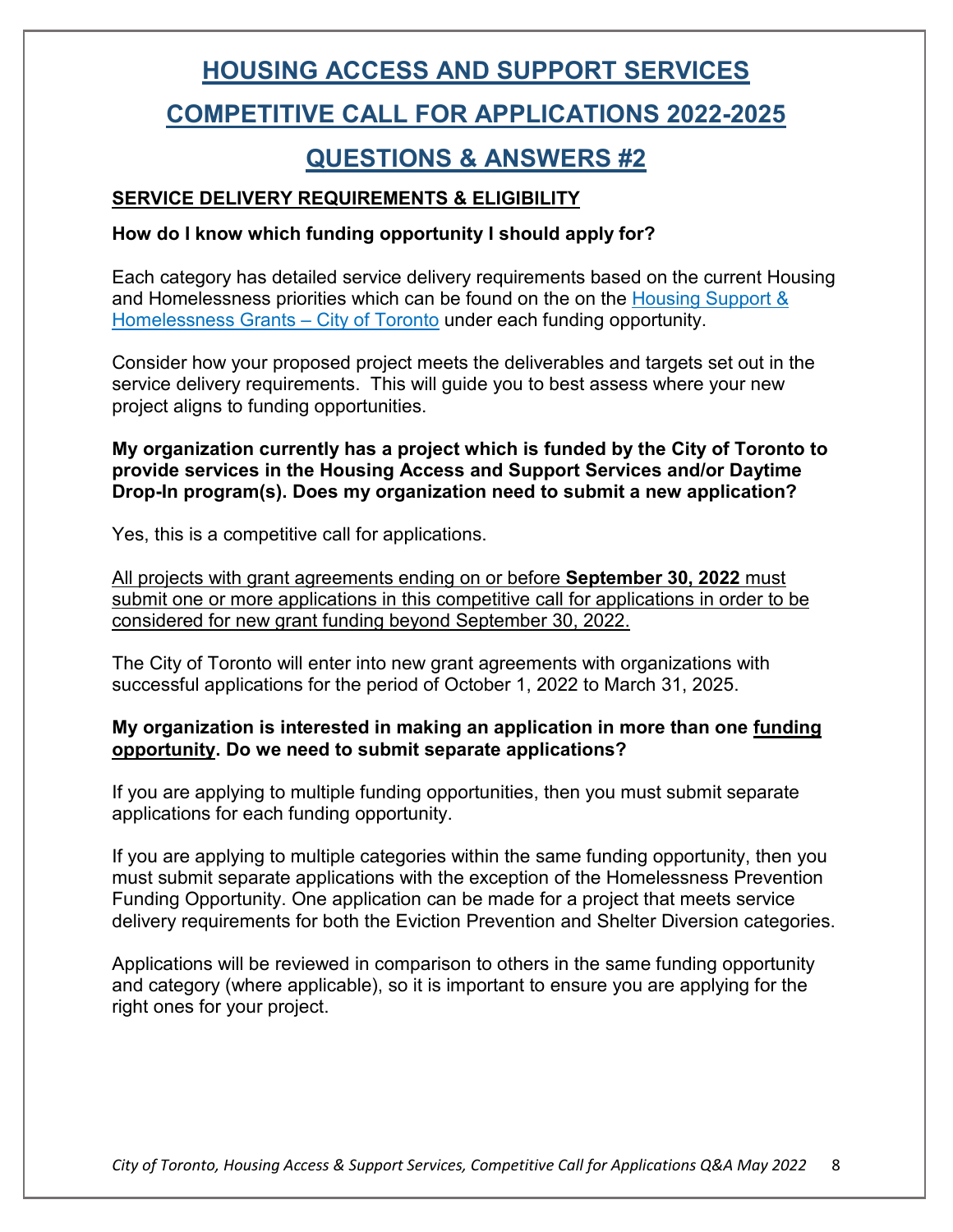### **COMPETITIVE CALL FOR APPLICATIONS 2022-2025**

### **QUESTIONS & ANSWERS #2**

### **SERVICE DELIVERY REQUIREMENTS & ELIGIBILITY**

#### **How do I know which funding opportunity I should apply for?**

Each category has detailed service delivery requirements based on the current Housing and Homelessness priorities which can be found on the on the Housing Support & [Homelessness Grants –](https://www.toronto.ca/services-payments/grants-incentives-rebates/housing-homelessness-grants/) City of Toronto under each funding opportunity.

Consider how your proposed project meets the deliverables and targets set out in the service delivery requirements. This will guide you to best assess where your new project aligns to funding opportunities.

**My organization currently has a project which is funded by the City of Toronto to provide services in the Housing Access and Support Services and/or Daytime Drop-In program(s). Does my organization need to submit a new application?** 

Yes, this is a competitive call for applications.

All projects with grant agreements ending on or before **September 30, 2022** must submit one or more applications in this competitive call for applications in order to be considered for new grant funding beyond September 30, 2022.

The City of Toronto will enter into new grant agreements with organizations with successful applications for the period of October 1, 2022 to March 31, 2025.

#### **My organization is interested in making an application in more than one funding opportunity. Do we need to submit separate applications?**

If you are applying to multiple funding opportunities, then you must submit separate applications for each funding opportunity.

If you are applying to multiple categories within the same funding opportunity, then you must submit separate applications with the exception of the Homelessness Prevention Funding Opportunity. One application can be made for a project that meets service delivery requirements for both the Eviction Prevention and Shelter Diversion categories.

Applications will be reviewed in comparison to others in the same funding opportunity and category (where applicable), so it is important to ensure you are applying for the right ones for your project.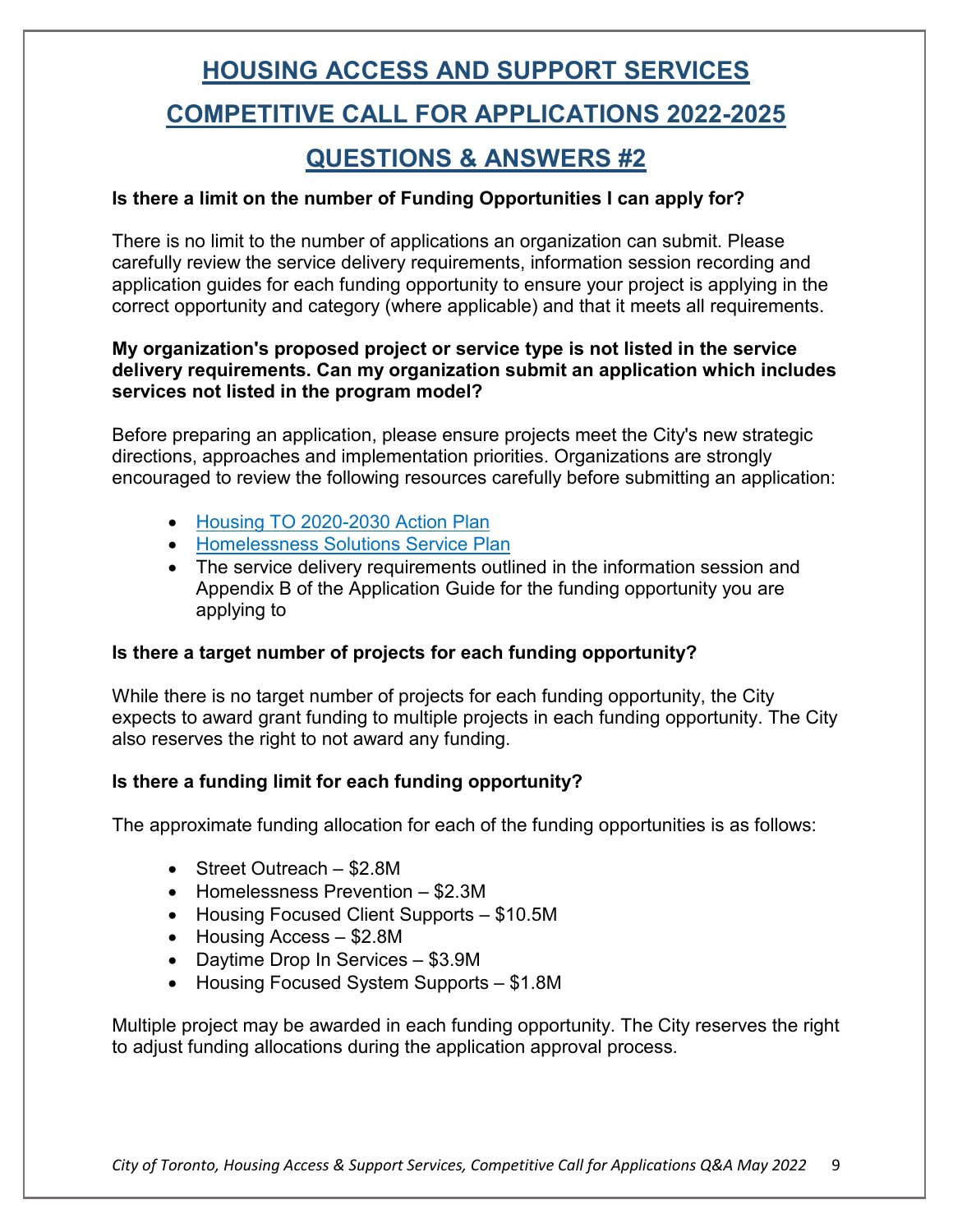# **HOUSING ACCESS AND SUPPORT SERVICES COMPETITIVE CALL FOR APPLICATIONS 2022-2025**

### **QUESTIONS & ANSWERS #2**

### **Is there a limit on the number of Funding Opportunities I can apply for?**

There is no limit to the number of applications an organization can submit. Please carefully review the service delivery requirements, information session recording and application guides for each funding opportunity to ensure your project is applying in the correct opportunity and category (where applicable) and that it meets all requirements.

#### **My organization's proposed project or service type is not listed in the service delivery requirements. Can my organization submit an application which includes services not listed in the program model?**

Before preparing an application, please ensure projects meet the City's new strategic directions, approaches and implementation priorities. Organizations are strongly encouraged to review the following resources carefully before submitting an application:

- [Housing TO 2020-2030 Action Plan](https://www.toronto.ca/community-people/community-partners/affordable-housing-partners/housingto-2020-2030-action-plan/)
- [Homelessness Solutions Service Plan](https://www.toronto.ca/legdocs/mmis/2021/ec/bgrd/backgroundfile-171730.pdf)
- The service delivery requirements outlined in the information session and Appendix B of the Application Guide for the funding opportunity you are applying to

#### **Is there a target number of projects for each funding opportunity?**

While there is no target number of projects for each funding opportunity, the City expects to award grant funding to multiple projects in each funding opportunity. The City also reserves the right to not award any funding.

### **Is there a funding limit for each funding opportunity?**

The approximate funding allocation for each of the funding opportunities is as follows:

- Street Outreach \$2.8M
- Homelessness Prevention \$2.3M
- Housing Focused Client Supports \$10.5M
- Housing Access \$2.8M
- Daytime Drop In Services \$3.9M
- Housing Focused System Supports \$1.8M

Multiple project may be awarded in each funding opportunity. The City reserves the right to adjust funding allocations during the application approval process.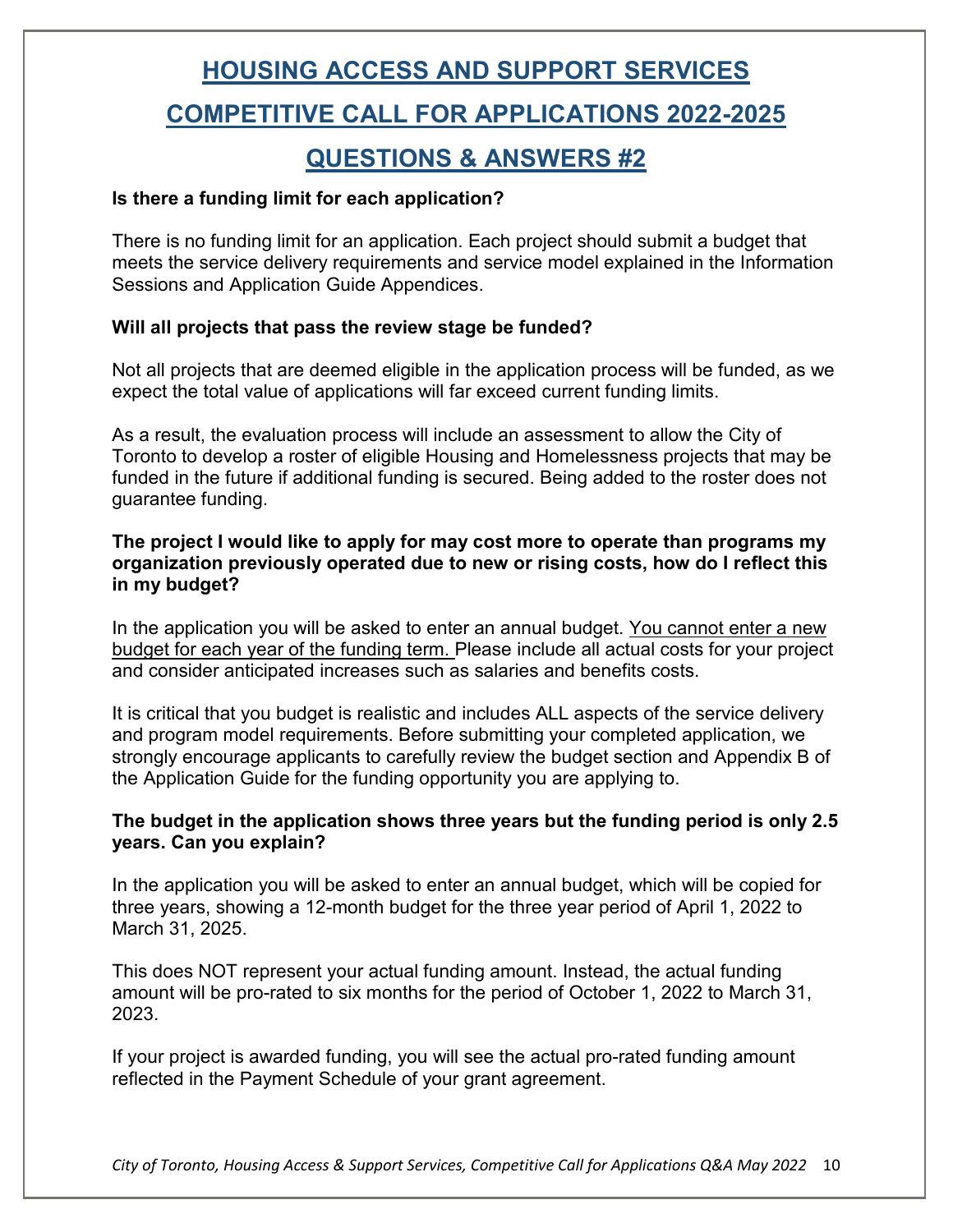# **HOUSING ACCESS AND SUPPORT SERVICES COMPETITIVE CALL FOR APPLICATIONS 2022-2025**

### **QUESTIONS & ANSWERS #2**

#### **Is there a funding limit for each application?**

There is no funding limit for an application. Each project should submit a budget that meets the service delivery requirements and service model explained in the Information Sessions and Application Guide Appendices.

### **Will all projects that pass the review stage be funded?**

Not all projects that are deemed eligible in the application process will be funded, as we expect the total value of applications will far exceed current funding limits.

As a result, the evaluation process will include an assessment to allow the City of Toronto to develop a roster of eligible Housing and Homelessness projects that may be funded in the future if additional funding is secured. Being added to the roster does not guarantee funding.

#### **The project I would like to apply for may cost more to operate than programs my organization previously operated due to new or rising costs, how do I reflect this in my budget?**

In the application you will be asked to enter an annual budget. You cannot enter a new budget for each year of the funding term. Please include all actual costs for your project and consider anticipated increases such as salaries and benefits costs.

It is critical that you budget is realistic and includes ALL aspects of the service delivery and program model requirements. Before submitting your completed application, we strongly encourage applicants to carefully review the budget section and Appendix B of the Application Guide for the funding opportunity you are applying to.

#### **The budget in the application shows three years but the funding period is only 2.5 years. Can you explain?**

In the application you will be asked to enter an annual budget, which will be copied for three years, showing a 12-month budget for the three year period of April 1, 2022 to March 31, 2025.

This does NOT represent your actual funding amount. Instead, the actual funding amount will be pro-rated to six months for the period of October 1, 2022 to March 31, 2023.

If your project is awarded funding, you will see the actual pro-rated funding amount reflected in the Payment Schedule of your grant agreement.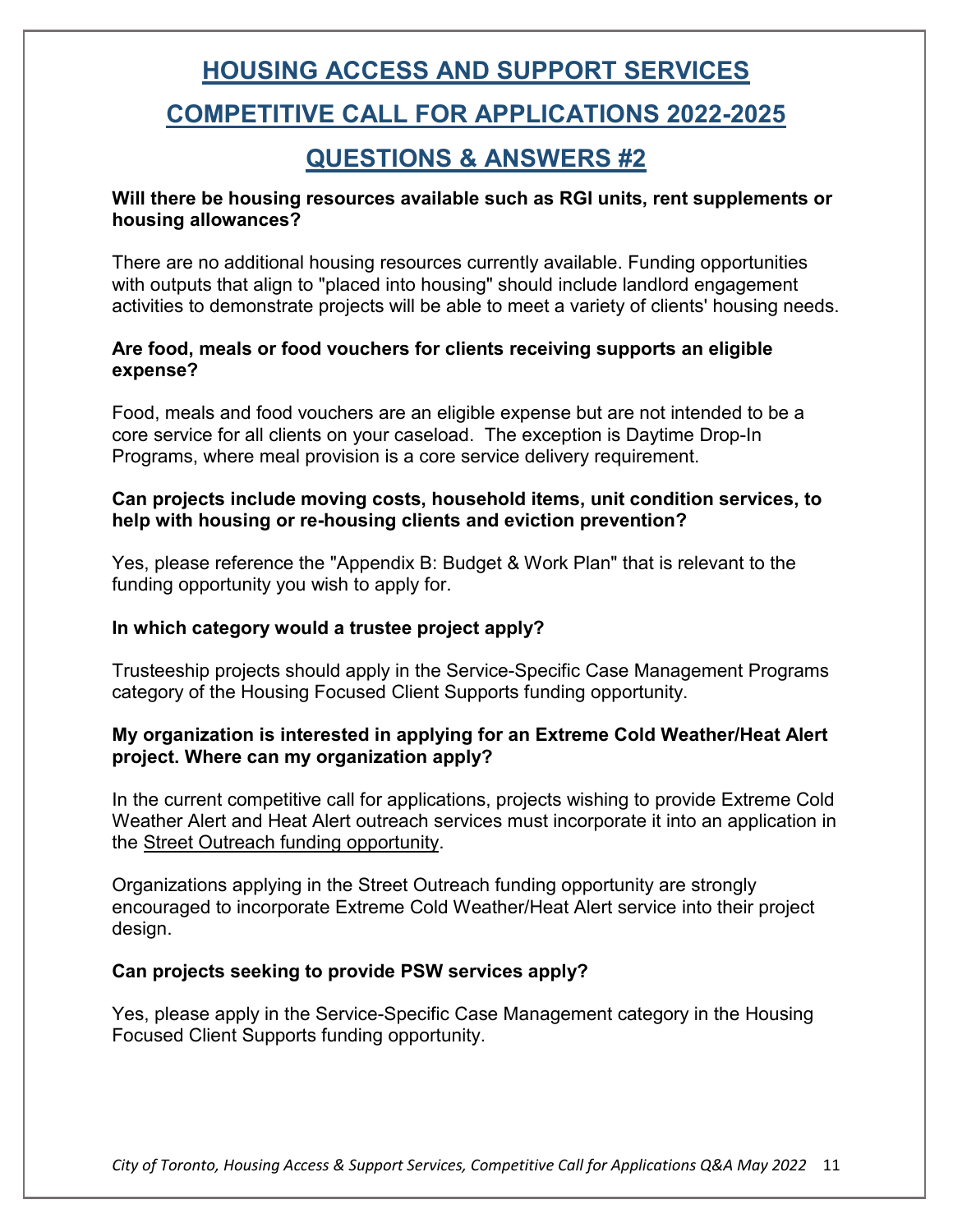### **COMPETITIVE CALL FOR APPLICATIONS 2022-2025**

### **QUESTIONS & ANSWERS #2**

#### **Will there be housing resources available such as RGI units, rent supplements or housing allowances?**

There are no additional housing resources currently available. Funding opportunities with outputs that align to "placed into housing" should include landlord engagement activities to demonstrate projects will be able to meet a variety of clients' housing needs.

#### **Are food, meals or food vouchers for clients receiving supports an eligible expense?**

Food, meals and food vouchers are an eligible expense but are not intended to be a core service for all clients on your caseload. The exception is Daytime Drop-In Programs, where meal provision is a core service delivery requirement.

#### **Can projects include moving costs, household items, unit condition services, to help with housing or re-housing clients and eviction prevention?**

Yes, please reference the "Appendix B: Budget & Work Plan" that is relevant to the funding opportunity you wish to apply for.

#### **In which category would a trustee project apply?**

Trusteeship projects should apply in the Service-Specific Case Management Programs category of the Housing Focused Client Supports funding opportunity.

#### **My organization is interested in applying for an Extreme Cold Weather/Heat Alert project. Where can my organization apply?**

In the current competitive call for applications, projects wishing to provide Extreme Cold Weather Alert and Heat Alert outreach services must incorporate it into an application in the Street Outreach funding opportunity.

Organizations applying in the Street Outreach funding opportunity are strongly encouraged to incorporate Extreme Cold Weather/Heat Alert service into their project design.

#### **Can projects seeking to provide PSW services apply?**

Yes, please apply in the Service-Specific Case Management category in the Housing Focused Client Supports funding opportunity.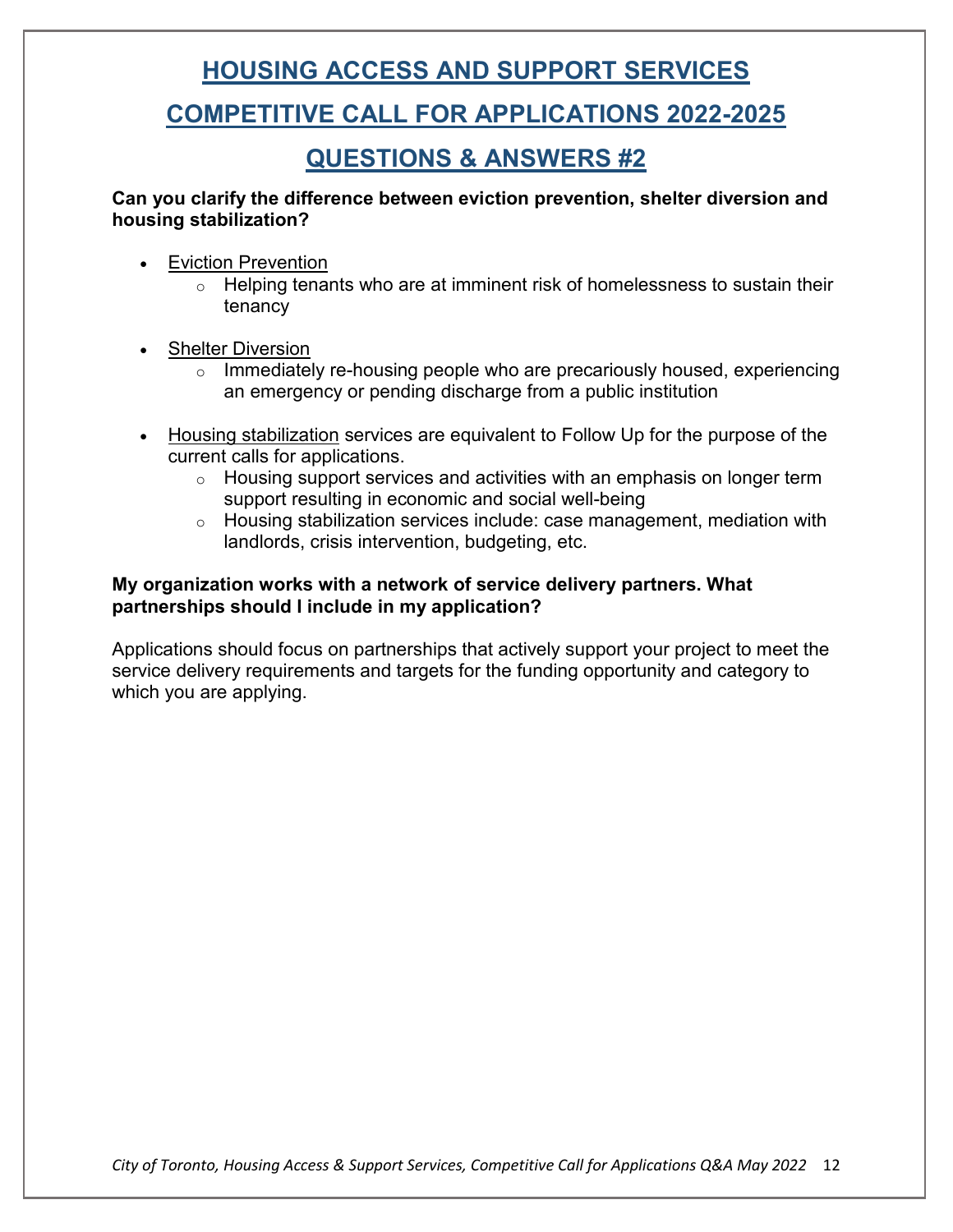### **COMPETITIVE CALL FOR APPLICATIONS 2022-2025**

### **QUESTIONS & ANSWERS #2**

**Can you clarify the difference between eviction prevention, shelter diversion and housing stabilization?** 

- Eviction Prevention
	- $\circ$  Helping tenants who are at imminent risk of homelessness to sustain their tenancy
- **Shelter Diversion** 
	- $\circ$  Immediately re-housing people who are precariously housed, experiencing an emergency or pending discharge from a public institution
- Housing stabilization services are equivalent to Follow Up for the purpose of the current calls for applications.
	- $\circ$  Housing support services and activities with an emphasis on longer term support resulting in economic and social well-being
	- $\circ$  Housing stabilization services include: case management, mediation with landlords, crisis intervention, budgeting, etc.

#### **My organization works with a network of service delivery partners. What partnerships should I include in my application?**

Applications should focus on partnerships that actively support your project to meet the service delivery requirements and targets for the funding opportunity and category to which you are applying.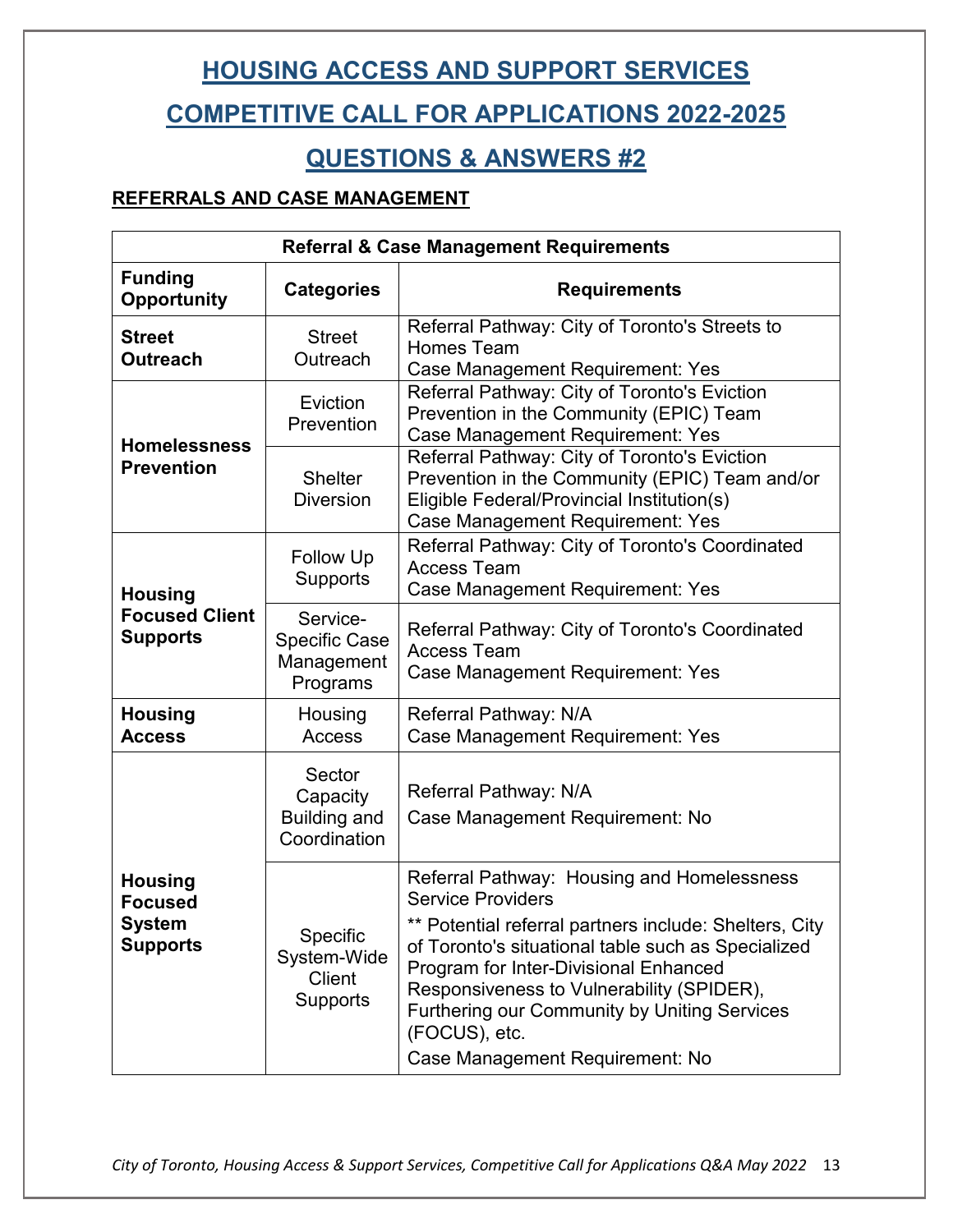### **COMPETITIVE CALL FOR APPLICATIONS 2022-2025**

### **QUESTIONS & ANSWERS #2**

### **REFERRALS AND CASE MANAGEMENT**

| <b>Referral &amp; Case Management Requirements</b>                   |                                                             |                                                                                                                                                                                                                                                                                                                                                                                         |  |  |
|----------------------------------------------------------------------|-------------------------------------------------------------|-----------------------------------------------------------------------------------------------------------------------------------------------------------------------------------------------------------------------------------------------------------------------------------------------------------------------------------------------------------------------------------------|--|--|
| <b>Funding</b><br>Opportunity                                        | <b>Categories</b>                                           | <b>Requirements</b>                                                                                                                                                                                                                                                                                                                                                                     |  |  |
| <b>Street</b><br><b>Outreach</b>                                     | <b>Street</b><br>Outreach                                   | Referral Pathway: City of Toronto's Streets to<br><b>Homes Team</b><br>Case Management Requirement: Yes                                                                                                                                                                                                                                                                                 |  |  |
| <b>Homelessness</b><br><b>Prevention</b>                             | Eviction<br>Prevention                                      | Referral Pathway: City of Toronto's Eviction<br>Prevention in the Community (EPIC) Team<br>Case Management Requirement: Yes                                                                                                                                                                                                                                                             |  |  |
|                                                                      | <b>Shelter</b><br><b>Diversion</b>                          | Referral Pathway: City of Toronto's Eviction<br>Prevention in the Community (EPIC) Team and/or<br>Eligible Federal/Provincial Institution(s)<br>Case Management Requirement: Yes                                                                                                                                                                                                        |  |  |
| <b>Housing</b><br><b>Focused Client</b><br><b>Supports</b>           | <b>Follow Up</b><br>Supports                                | Referral Pathway: City of Toronto's Coordinated<br><b>Access Team</b><br>Case Management Requirement: Yes                                                                                                                                                                                                                                                                               |  |  |
|                                                                      | Service-<br><b>Specific Case</b><br>Management<br>Programs  | Referral Pathway: City of Toronto's Coordinated<br><b>Access Team</b><br>Case Management Requirement: Yes                                                                                                                                                                                                                                                                               |  |  |
| <b>Housing</b><br><b>Access</b>                                      | Housing<br>Access                                           | Referral Pathway: N/A<br>Case Management Requirement: Yes                                                                                                                                                                                                                                                                                                                               |  |  |
| <b>Housing</b><br><b>Focused</b><br><b>System</b><br><b>Supports</b> | Sector<br>Capacity<br><b>Building and</b><br>Coordination   | Referral Pathway: N/A<br>Case Management Requirement: No                                                                                                                                                                                                                                                                                                                                |  |  |
|                                                                      | Specific<br>System-Wide<br><b>Client</b><br><b>Supports</b> | Referral Pathway: Housing and Homelessness<br><b>Service Providers</b><br>** Potential referral partners include: Shelters, City<br>of Toronto's situational table such as Specialized<br>Program for Inter-Divisional Enhanced<br>Responsiveness to Vulnerability (SPIDER),<br><b>Furthering our Community by Uniting Services</b><br>(FOCUS), etc.<br>Case Management Requirement: No |  |  |

*City of Toronto, Housing Access & Support Services, Competitive Call for Applications Q&A May 2022* 13